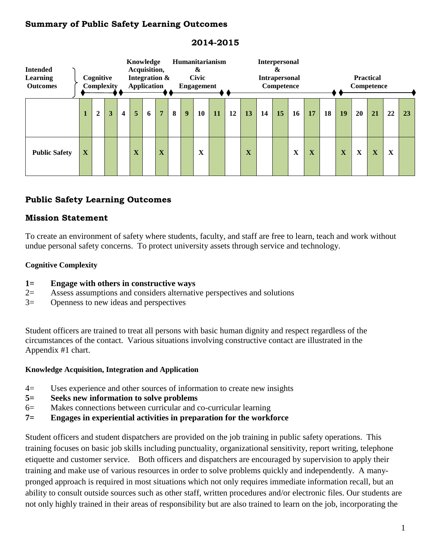### **Summary of Public Safety Learning Outcomes**

| <b>Intended</b><br>Learning<br><b>Outcomes</b> | Cognitive<br>Complexity |                  |   |                         | Knowledge<br>Acquisition,<br>Integration &<br>Application |   |   |   | Humanitarianism<br>&<br><b>Civic</b><br>Engagement |                   |           |    | <b>Interpersonal</b><br>&<br><b>Intrapersonal</b><br>Competence |    |    |             |                         |    | <b>Practical</b><br>Competence |    |    |             |    |
|------------------------------------------------|-------------------------|------------------|---|-------------------------|-----------------------------------------------------------|---|---|---|----------------------------------------------------|-------------------|-----------|----|-----------------------------------------------------------------|----|----|-------------|-------------------------|----|--------------------------------|----|----|-------------|----|
|                                                |                         | $\boldsymbol{2}$ | 3 | $\overline{\mathbf{4}}$ | 5                                                         | 6 | 7 | 8 | $\boldsymbol{9}$                                   | 10                | <b>11</b> | 12 | 13                                                              | 14 | 15 | 16          | 17                      | 18 | 19                             | 20 | 21 | 22          | 23 |
| <b>Public Safety</b>                           | X                       |                  |   |                         | $\overline{\mathbf{v}}$<br>л                              |   | X |   |                                                    | $\mathbf{v}$<br>л |           |    | $\mathbf X$                                                     |    |    | $\mathbf X$ | $\overline{\mathbf{X}}$ |    | X                              | X  | X  | $\mathbf X$ |    |

## **2014-2015**

# **Public Safety Learning Outcomes**

### **Mission Statement**

To create an environment of safety where students, faculty, and staff are free to learn, teach and work without undue personal safety concerns. To protect university assets through service and technology.

### **Cognitive Complexity**

- **1= Engage with others in constructive ways**
- 2= Assess assumptions and considers alternative perspectives and solutions
- 3= Openness to new ideas and perspectives

Student officers are trained to treat all persons with basic human dignity and respect regardless of the circumstances of the contact. Various situations involving constructive contact are illustrated in the Appendix #1 chart.

#### **Knowledge Acquisition, Integration and Application**

- 4= Uses experience and other sources of information to create new insights
- **5= Seeks new information to solve problems**
- 6= Makes connections between curricular and co-curricular learning
- **7= Engages in experiential activities in preparation for the workforce**

Student officers and student dispatchers are provided on the job training in public safety operations. This training focuses on basic job skills including punctuality, organizational sensitivity, report writing, telephone etiquette and customer service. Both officers and dispatchers are encouraged by supervision to apply their training and make use of various resources in order to solve problems quickly and independently. A manypronged approach is required in most situations which not only requires immediate information recall, but an ability to consult outside sources such as other staff, written procedures and/or electronic files. Our students are not only highly trained in their areas of responsibility but are also trained to learn on the job, incorporating the